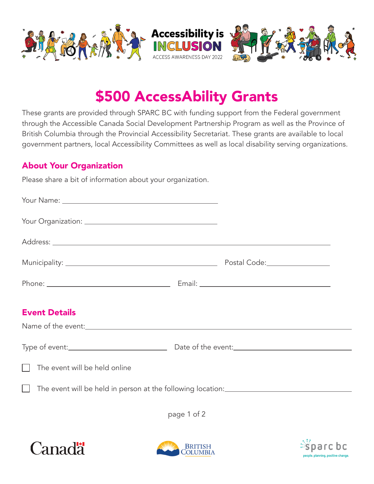

# \$500 AccessAbility Grants

These grants are provided through SPARC BC with funding support from the Federal government through the Accessible Canada Social Development Partnership Program as well as the Province of British Columbia through the Provincial Accessibility Secretariat. These grants are available to local government partners, local Accessibility Committees as well as local disability serving organizations.

# About Your Organization

Please share a bit of information about your organization.

| <b>Event Details</b>                 |  |
|--------------------------------------|--|
|                                      |  |
|                                      |  |
| $\Box$ The event will be held online |  |
| $\Box$                               |  |
|                                      |  |

page 1 of 2